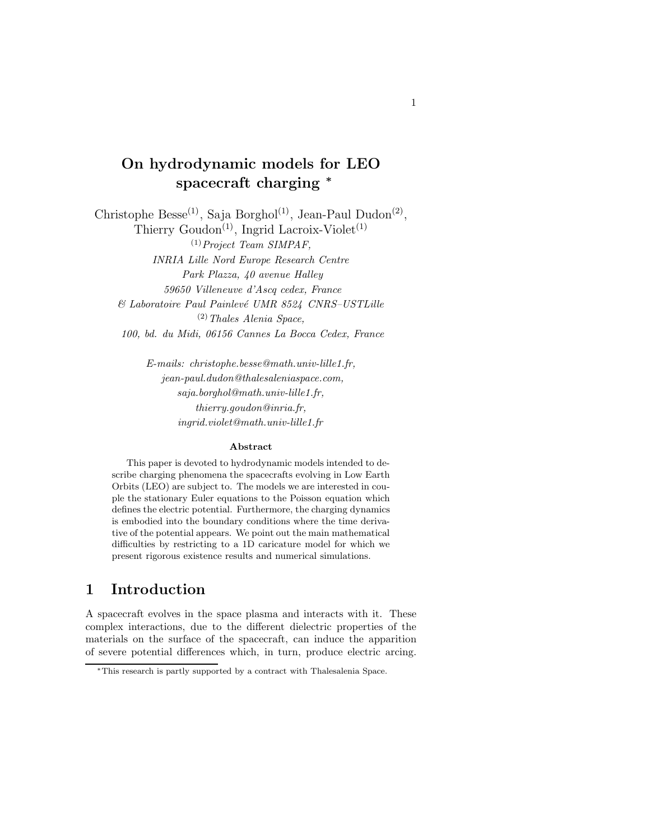# On hydrodynamic models for LEO spacecraft charging <sup>\*</sup>

Christophe Besse<sup>(1)</sup>, Saja Borghol<sup>(1)</sup>, Jean-Paul Dudon<sup>(2)</sup>, Thierry Goudon<sup>(1)</sup>, Ingrid Lacroix-Violet<sup>(1)</sup>  $^{(1)}$ Project Team SIMPAF, INRIA Lille Nord Europe Research Centre Park Plazza, 40 avenue Halley 59650 Villeneuve d'Ascq cedex, France  $& Laboratoire Paul Painlevé UMR 8524 CNRS-USTLille$  $(2)$  Thales Alenia Space, 100, bd. du Midi, 06156 Cannes La Bocca Cedex, France

> E-mails: christophe.besse@math.univ-lille1.fr, jean-paul.dudon@thalesaleniaspace.com, saja.borghol@math.univ-lille1.fr, thierry.goudon@inria.fr, ingrid.violet@math.univ-lille1.fr

#### Abstract

This paper is devoted to hydrodynamic models intended to describe charging phenomena the spacecrafts evolving in Low Earth Orbits (LEO) are subject to. The models we are interested in couple the stationary Euler equations to the Poisson equation which defines the electric potential. Furthermore, the charging dynamics is embodied into the boundary conditions where the time derivative of the potential appears. We point out the main mathematical difficulties by restricting to a 1D caricature model for which we present rigorous existence results and numerical simulations.

## 1 Introduction

A spacecraft evolves in the space plasma and interacts with it. These complex interactions, due to the different dielectric properties of the materials on the surface of the spacecraft, can induce the apparition of severe potential differences which, in turn, produce electric arcing.

<sup>∗</sup>This research is partly supported by a contract with Thalesalenia Space.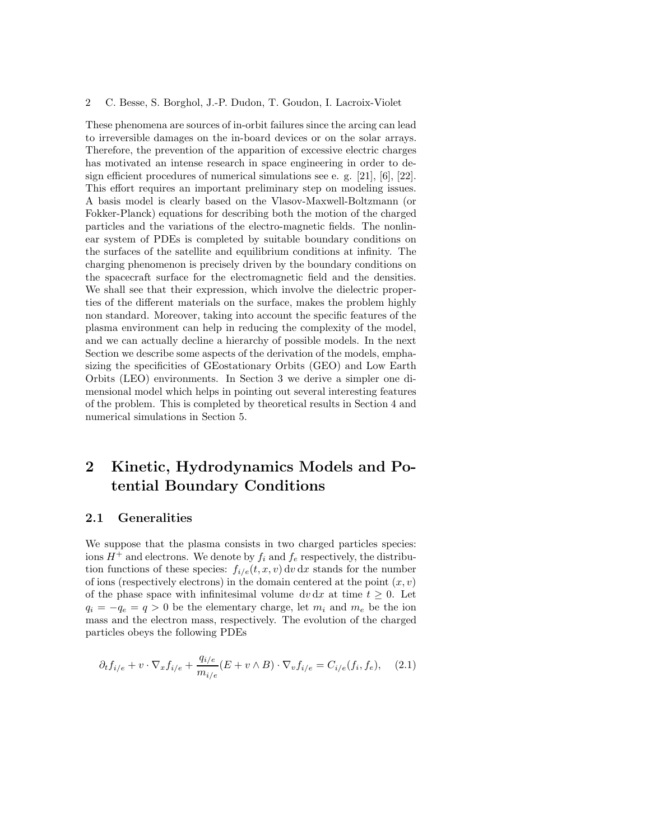These phenomena are sources of in-orbit failures since the arcing can lead to irreversible damages on the in-board devices or on the solar arrays. Therefore, the prevention of the apparition of excessive electric charges has motivated an intense research in space engineering in order to design efficient procedures of numerical simulations see e. g. [21], [6], [22]. This effort requires an important preliminary step on modeling issues. A basis model is clearly based on the Vlasov-Maxwell-Boltzmann (or Fokker-Planck) equations for describing both the motion of the charged particles and the variations of the electro-magnetic fields. The nonlinear system of PDEs is completed by suitable boundary conditions on the surfaces of the satellite and equilibrium conditions at infinity. The charging phenomenon is precisely driven by the boundary conditions on the spacecraft surface for the electromagnetic field and the densities. We shall see that their expression, which involve the dielectric properties of the different materials on the surface, makes the problem highly non standard. Moreover, taking into account the specific features of the plasma environment can help in reducing the complexity of the model, and we can actually decline a hierarchy of possible models. In the next Section we describe some aspects of the derivation of the models, emphasizing the specificities of GEostationary Orbits (GEO) and Low Earth Orbits (LEO) environments. In Section 3 we derive a simpler one dimensional model which helps in pointing out several interesting features of the problem. This is completed by theoretical results in Section 4 and numerical simulations in Section 5.

# 2 Kinetic, Hydrodynamics Models and Potential Boundary Conditions

### 2.1 Generalities

We suppose that the plasma consists in two charged particles species: ions  $H^+$  and electrons. We denote by  $f_i$  and  $f_e$  respectively, the distribution functions of these species:  $f_{i/e}(t, x, v) dv dx$  stands for the number of ions (respectively electrons) in the domain centered at the point  $(x, v)$ of the phase space with infinitesimal volume dv dx at time  $t \geq 0$ . Let  $q_i = -q_e = q > 0$  be the elementary charge, let  $m_i$  and  $m_e$  be the ion mass and the electron mass, respectively. The evolution of the charged particles obeys the following PDEs

$$
\partial_t f_{i/e} + v \cdot \nabla_x f_{i/e} + \frac{q_{i/e}}{m_{i/e}} (E + v \wedge B) \cdot \nabla_v f_{i/e} = C_{i/e}(f_i, f_e), \quad (2.1)
$$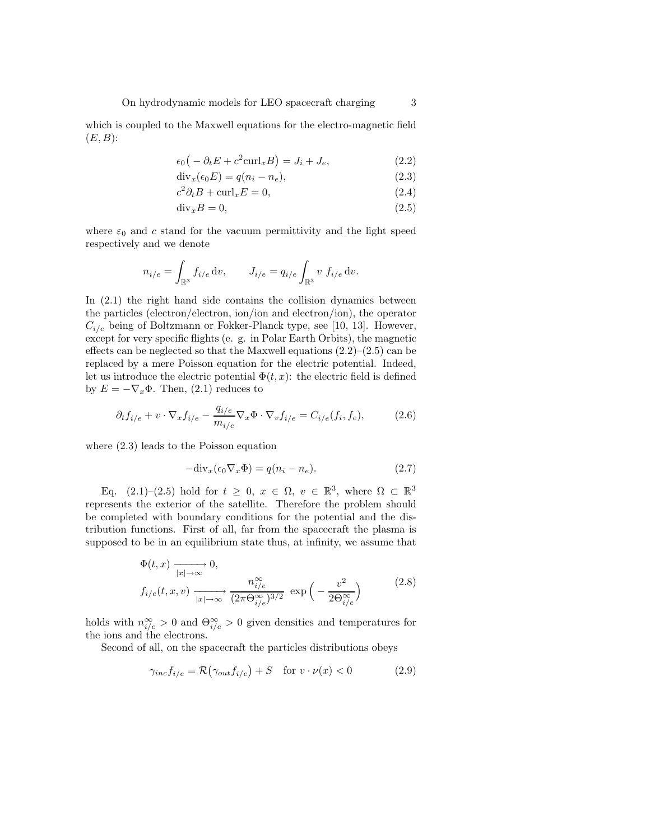which is coupled to the Maxwell equations for the electro-magnetic field  $(E, B)$ :

$$
\epsilon_0 \big(-\partial_t E + c^2 \text{curl}_x B\big) = J_i + J_e,\tag{2.2}
$$

$$
\operatorname{div}_x(\epsilon_0 E) = q(n_i - n_e),\tag{2.3}
$$

$$
c^2 \partial_t B + \text{curl}_x E = 0,\tag{2.4}
$$

$$
\text{div}_x B = 0,\tag{2.5}
$$

where  $\varepsilon_0$  and c stand for the vacuum permittivity and the light speed respectively and we denote

$$
n_{i/e} = \int_{\mathbb{R}^3} f_{i/e} \, \mathrm{d}v, \qquad J_{i/e} = q_{i/e} \int_{\mathbb{R}^3} v \, f_{i/e} \, \mathrm{d}v.
$$

In (2.1) the right hand side contains the collision dynamics between the particles (electron/electron, ion/ion and electron/ion), the operator  $C_{i/e}$  being of Boltzmann or Fokker-Planck type, see [10, 13]. However, except for very specific flights (e. g. in Polar Earth Orbits), the magnetic effects can be neglected so that the Maxwell equations  $(2.2)$ – $(2.5)$  can be replaced by a mere Poisson equation for the electric potential. Indeed, let us introduce the electric potential  $\Phi(t, x)$ : the electric field is defined by  $E = -\nabla_x \Phi$ . Then, (2.1) reduces to

$$
\partial_t f_{i/e} + v \cdot \nabla_x f_{i/e} - \frac{q_{i/e}}{m_{i/e}} \nabla_x \Phi \cdot \nabla_v f_{i/e} = C_{i/e}(f_i, f_e),\tag{2.6}
$$

where (2.3) leads to the Poisson equation

$$
-div_x(\epsilon_0 \nabla_x \Phi) = q(n_i - n_e). \tag{2.7}
$$

Eq.  $(2.1)$ – $(2.5)$  hold for  $t \geq 0$ ,  $x \in \Omega$ ,  $v \in \mathbb{R}^3$ , where  $\Omega \subset \mathbb{R}^3$ represents the exterior of the satellite. Therefore the problem should be completed with boundary conditions for the potential and the distribution functions. First of all, far from the spacecraft the plasma is supposed to be in an equilibrium state thus, at infinity, we assume that

$$
\Phi(t, x) \xrightarrow[|x| \to \infty]{} 0,
$$
\n
$$
f_{i/e}(t, x, v) \xrightarrow[|x| \to \infty]{} 0,
$$
\n
$$
\exp\left(-\frac{v^2}{2\Theta_{i/e}^{\infty}}\right)
$$
\n
$$
(2.8)
$$

holds with  $n_{i/e}^{\infty} > 0$  and  $\Theta_{i/e}^{\infty} > 0$  given densities and temperatures for the ions and the electrons.

Second of all, on the spacecraft the particles distributions obeys

$$
\gamma_{inc} f_{i/e} = \mathcal{R}(\gamma_{out} f_{i/e}) + S \quad \text{for } v \cdot \nu(x) < 0 \tag{2.9}
$$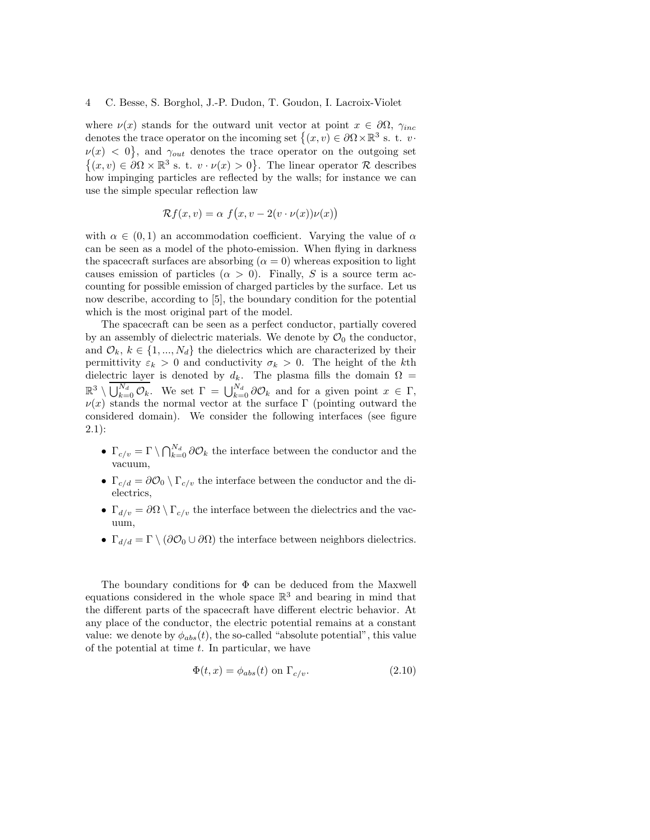where  $\nu(x)$  stands for the outward unit vector at point  $x \in \partial\Omega$ ,  $\gamma_{inc}$ denotes the trace operator on the incoming set  $\{(x, v) \in \partial \Omega \times \mathbb{R}^3 \text{ s. t. } v\}$  $\nu(x) < 0$ , and  $\gamma_{out}$  denotes the trace operator on the outgoing set  $\{(x, v) \in \partial\Omega \times \mathbb{R}^3 \text{ s. t. } v \cdot \nu(x) > 0\}.$  The linear operator R describes how impinging particles are reflected by the walls; for instance we can use the simple specular reflection law

$$
\mathcal{R}f(x,v) = \alpha \ f\big(x,v - 2(v \cdot \nu(x))\nu(x)\big)
$$

with  $\alpha \in (0,1)$  an accommodation coefficient. Varying the value of  $\alpha$ can be seen as a model of the photo-emission. When flying in darkness the spacecraft surfaces are absorbing  $(\alpha = 0)$  whereas exposition to light causes emission of particles  $(\alpha > 0)$ . Finally, S is a source term accounting for possible emission of charged particles by the surface. Let us now describe, according to [5], the boundary condition for the potential which is the most original part of the model.

The spacecraft can be seen as a perfect conductor, partially covered by an assembly of dielectric materials. We denote by  $\mathcal{O}_0$  the conductor, and  $\mathcal{O}_k, k \in \{1, ..., N_d\}$  the dielectrics which are characterized by their permittivity  $\varepsilon_k > 0$  and conductivity  $\sigma_k > 0$ . The height of the kth dielectric layer is denoted by  $d_k$ . The plasma fills the domain  $\Omega =$  $\mathbb{R}^3 \setminus \bigcup_{k=0}^{N_d} \mathcal{O}_k$ . We set  $\Gamma = \bigcup_{k=0}^{N_d} \partial \mathcal{O}_k$  and for a given point  $x \in \Gamma$ ,  $\nu(x)$  stands the normal vector at the surface Γ (pointing outward the considered domain). We consider the following interfaces (see figure 2.1):

- $\Gamma_{c/v} = \Gamma \setminus \bigcap_{k=0}^{N_d} \partial \mathcal{O}_k$  the interface between the conductor and the vacuum,
- $\Gamma_{c/d} = \partial \mathcal{O}_0 \setminus \Gamma_{c/v}$  the interface between the conductor and the dielectrics,
- $\Gamma_{d/v} = \partial \Omega \setminus \Gamma_{c/v}$  the interface between the dielectrics and the vacuum,
- $\Gamma_{d/d} = \Gamma \setminus (\partial \mathcal{O}_0 \cup \partial \Omega)$  the interface between neighbors dielectrics.

The boundary conditions for  $\Phi$  can be deduced from the Maxwell equations considered in the whole space  $\mathbb{R}^3$  and bearing in mind that the different parts of the spacecraft have different electric behavior. At any place of the conductor, the electric potential remains at a constant value: we denote by  $\phi_{abs}(t)$ , the so-called "absolute potential", this value of the potential at time  $t$ . In particular, we have

$$
\Phi(t, x) = \phi_{abs}(t) \text{ on } \Gamma_{c/v}.
$$
\n(2.10)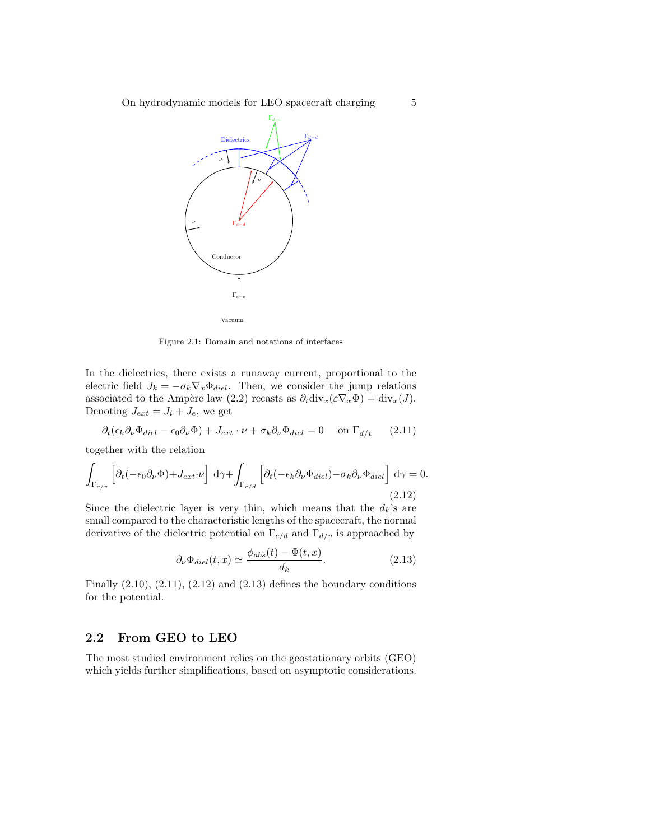

Figure 2.1: Domain and notations of interfaces

In the dielectrics, there exists a runaway current, proportional to the electric field  $J_k = -\sigma_k \nabla_x \Phi_{diel}$ . Then, we consider the jump relations associated to the Ampère law (2.2) recasts as  $\partial_t \text{div}_x(\varepsilon \nabla_x \Phi) = \text{div}_x(J)$ . Denoting  $J_{ext} = J_i + J_e$ , we get

$$
\partial_t (\epsilon_k \partial_\nu \Phi_{diel} - \epsilon_0 \partial_\nu \Phi) + J_{ext} \cdot \nu + \sigma_k \partial_\nu \Phi_{diel} = 0 \quad \text{on } \Gamma_{d/v} \tag{2.11}
$$

together with the relation

$$
\int_{\Gamma_{c/v}} \left[ \partial_t (-\epsilon_0 \partial_\nu \Phi) + J_{ext} \cdot \nu \right] d\gamma + \int_{\Gamma_{c/d}} \left[ \partial_t (-\epsilon_k \partial_\nu \Phi_{diel}) - \sigma_k \partial_\nu \Phi_{diel} \right] d\gamma = 0.
$$
\n(2.12)

Since the dielectric layer is very thin, which means that the  $d_k$ 's are small compared to the characteristic lengths of the spacecraft, the normal derivative of the dielectric potential on  $\Gamma_{c/d}$  and  $\Gamma_{d/v}$  is approached by

$$
\partial_{\nu}\Phi_{diel}(t,x) \simeq \frac{\phi_{abs}(t) - \Phi(t,x)}{d_k}.
$$
\n(2.13)

Finally  $(2.10)$ ,  $(2.11)$ ,  $(2.12)$  and  $(2.13)$  defines the boundary conditions for the potential.

## 2.2 From GEO to LEO

The most studied environment relies on the geostationary orbits (GEO) which yields further simplifications, based on asymptotic considerations.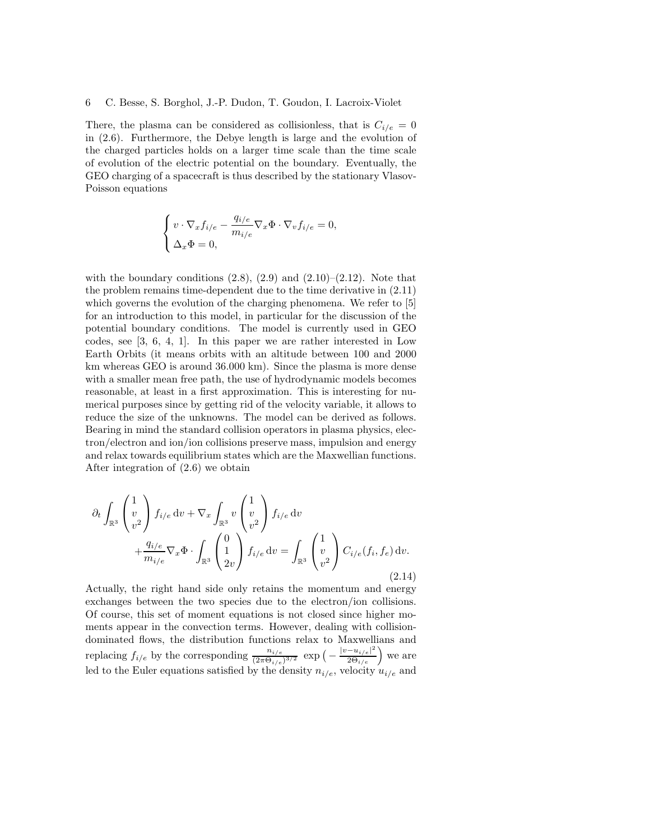There, the plasma can be considered as collisionless, that is  $C_{i/e} = 0$ in (2.6). Furthermore, the Debye length is large and the evolution of the charged particles holds on a larger time scale than the time scale of evolution of the electric potential on the boundary. Eventually, the GEO charging of a spacecraft is thus described by the stationary Vlasov-Poisson equations

$$
\left\{ \begin{aligned} &v\cdot\nabla_x f_{i/e}-\frac{q_{i/e}}{m_{i/e}}\nabla_x\Phi\cdot\nabla_v f_{i/e}=0,\\ &\Delta_x\Phi=0, \end{aligned} \right.
$$

with the boundary conditions  $(2.8)$ ,  $(2.9)$  and  $(2.10)$ – $(2.12)$ . Note that the problem remains time-dependent due to the time derivative in (2.11) which governs the evolution of the charging phenomena. We refer to [5] for an introduction to this model, in particular for the discussion of the potential boundary conditions. The model is currently used in GEO codes, see [3, 6, 4, 1]. In this paper we are rather interested in Low Earth Orbits (it means orbits with an altitude between 100 and 2000 km whereas GEO is around 36.000 km). Since the plasma is more dense with a smaller mean free path, the use of hydrodynamic models becomes reasonable, at least in a first approximation. This is interesting for numerical purposes since by getting rid of the velocity variable, it allows to reduce the size of the unknowns. The model can be derived as follows. Bearing in mind the standard collision operators in plasma physics, electron/electron and ion/ion collisions preserve mass, impulsion and energy and relax towards equilibrium states which are the Maxwellian functions. After integration of (2.6) we obtain

$$
\partial_t \int_{\mathbb{R}^3} \begin{pmatrix} 1 \\ v \\ v^2 \end{pmatrix} f_{i/e} dv + \nabla_x \int_{\mathbb{R}^3} v \begin{pmatrix} 1 \\ v \\ v^2 \end{pmatrix} f_{i/e} dv + \frac{q_{i/e}}{m_{i/e}} \nabla_x \Phi \cdot \int_{\mathbb{R}^3} \begin{pmatrix} 0 \\ 1 \\ 2v \end{pmatrix} f_{i/e} dv = \int_{\mathbb{R}^3} \begin{pmatrix} 1 \\ v \\ v^2 \end{pmatrix} C_{i/e}(f_i, f_e) dv.
$$
\n(2.14)

Actually, the right hand side only retains the momentum and energy exchanges between the two species due to the electron/ion collisions. Of course, this set of moment equations is not closed since higher moments appear in the convection terms. However, dealing with collisiondominated flows, the distribution functions relax to Maxwellians and replacing  $f_{i/e}$  by the corresponding  $\frac{n_{i/e}}{(2\pi\Theta_{i/e})^{3/2}}$  exp  $\left(-\frac{|v-u_{i/e}|^2}{2\Theta_{i/e}}\right)$  we are led to the Euler equations satisfied by the density  $n_{i/e}$ , velocity  $u_{i/e}$  and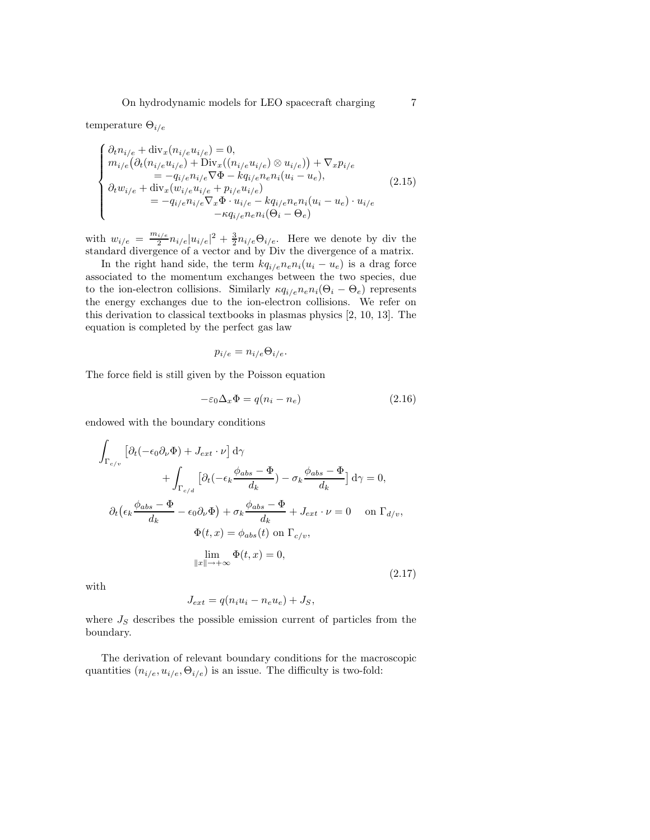temperature  $\Theta_{i/e}$ 

$$
\begin{cases}\n\partial_t n_{i/e} + \text{div}_x(n_{i/e}u_{i/e}) = 0, \\
m_{i/e}(\partial_t(n_{i/e}u_{i/e}) + \text{Div}_x((n_{i/e}u_{i/e}) \otimes u_{i/e})) + \nabla_x p_{i/e} \\
= -q_{i/e}n_{i/e}\nabla\Phi - kq_{i/e}n_{e}n_{i}(u_i - u_e), \\
\partial_t w_{i/e} + \text{div}_x(w_{i/e}u_{i/e} + p_{i/e}u_{i/e}) \\
= -q_{i/e}n_{i/e}\nabla_x \Phi \cdot u_{i/e} - kq_{i/e}n_{e}n_{i}(u_i - u_e) \cdot u_{i/e} \\
- \kappa q_{i/e}n_{e}n_{i}(\Theta_i - \Theta_e)\n\end{cases} \tag{2.15}
$$

with  $w_{i/e} = \frac{m_{i/e}}{2}$  $\frac{i/e}{2}n_{i/e}|u_{i/e}|^2 + \frac{3}{2}n_{i/e}\Theta_{i/e}$ . Here we denote by div the standard divergence of a vector and by Div the divergence of a matrix.

In the right hand side, the term  $kq_{i/e}n_{e}n_{i}(u_{i} - u_{e})$  is a drag force associated to the momentum exchanges between the two species, due to the ion-electron collisions. Similarly  $\kappa q_{i/e} n_e n_i (\Theta_i - \Theta_e)$  represents the energy exchanges due to the ion-electron collisions. We refer on this derivation to classical textbooks in plasmas physics [2, 10, 13]. The equation is completed by the perfect gas law

$$
p_{i/e} = n_{i/e} \Theta_{i/e}.
$$

The force field is still given by the Poisson equation

$$
-\varepsilon_0 \Delta_x \Phi = q(n_i - n_e) \tag{2.16}
$$

endowed with the boundary conditions

$$
\int_{\Gamma_{c/v}} \left[ \partial_t (-\epsilon_0 \partial_\nu \Phi) + J_{ext} \cdot \nu \right] d\gamma \n+ \int_{\Gamma_{c/d}} \left[ \partial_t (-\epsilon_k \frac{\phi_{abs} - \Phi}{d_k}) - \sigma_k \frac{\phi_{abs} - \Phi}{d_k} \right] d\gamma = 0, \n\partial_t (\epsilon_k \frac{\phi_{abs} - \Phi}{d_k} - \epsilon_0 \partial_\nu \Phi) + \sigma_k \frac{\phi_{abs} - \Phi}{d_k} + J_{ext} \cdot \nu = 0 \quad \text{on } \Gamma_{d/v}, \n\Phi(t, x) = \phi_{abs}(t) \text{ on } \Gamma_{c/v}, \n\lim_{\|x\| \to +\infty} \Phi(t, x) = 0,
$$
\n(2.17)

with

$$
J_{ext} = q(n_i u_i - n_e u_e) + J_S,
$$

where  $J<sub>S</sub>$  describes the possible emission current of particles from the boundary.

The derivation of relevant boundary conditions for the macroscopic quantities  $(n_{i/e}, u_{i/e}, \Theta_{i/e})$  is an issue. The difficulty is two-fold: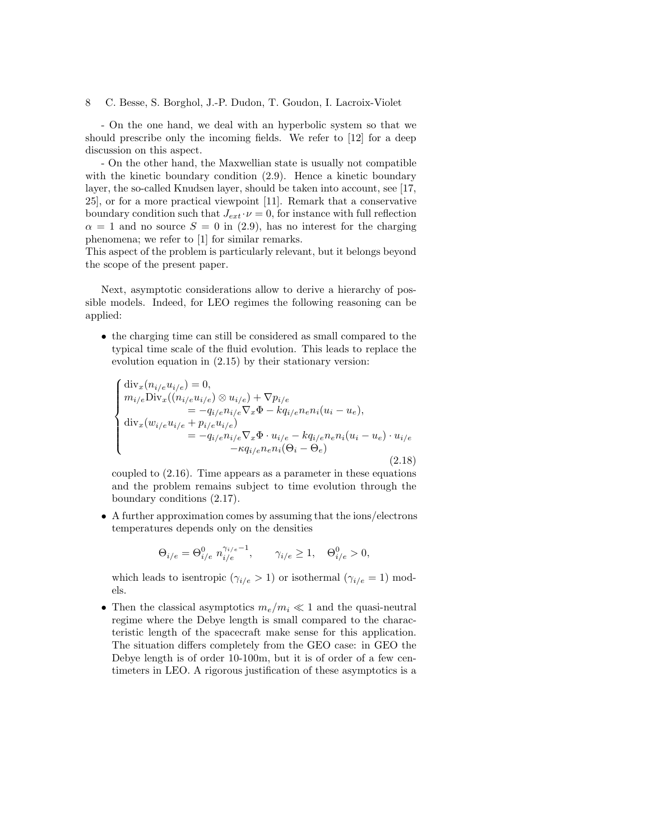- On the one hand, we deal with an hyperbolic system so that we should prescribe only the incoming fields. We refer to [12] for a deep discussion on this aspect.

- On the other hand, the Maxwellian state is usually not compatible with the kinetic boundary condition  $(2.9)$ . Hence a kinetic boundary layer, the so-called Knudsen layer, should be taken into account, see [17, 25], or for a more practical viewpoint [11]. Remark that a conservative boundary condition such that  $J_{ext} \cdot \nu = 0$ , for instance with full reflection  $\alpha = 1$  and no source  $S = 0$  in (2.9), has no interest for the charging phenomena; we refer to [1] for similar remarks.

This aspect of the problem is particularly relevant, but it belongs beyond the scope of the present paper.

Next, asymptotic considerations allow to derive a hierarchy of possible models. Indeed, for LEO regimes the following reasoning can be applied:

• the charging time can still be considered as small compared to the typical time scale of the fluid evolution. This leads to replace the evolution equation in (2.15) by their stationary version:

$$
\begin{cases}\n\text{div}_{x}(n_{i/e}u_{i/e}) = 0, \\
m_{i/e}\text{Div}_{x}((n_{i/e}u_{i/e}) \otimes u_{i/e}) + \nabla p_{i/e} \\
= -q_{i/e}n_{i/e}\nabla_{x}\Phi - kq_{i/e}n_{e}n_{i}(u_{i} - u_{e}), \\
\text{div}_{x}(w_{i/e}u_{i/e} + p_{i/e}u_{i/e}) \\
= -q_{i/e}n_{i/e}\nabla_{x}\Phi \cdot u_{i/e} - kq_{i/e}n_{e}n_{i}(u_{i} - u_{e}) \cdot u_{i/e} \\
-\kappa q_{i/e}n_{e}n_{i}(\Theta_{i} - \Theta_{e})\n\end{cases} (2.18)
$$

coupled to (2.16). Time appears as a parameter in these equations and the problem remains subject to time evolution through the boundary conditions (2.17).

• A further approximation comes by assuming that the ions/electrons temperatures depends only on the densities

$$
\Theta_{i/e} = \Theta_{i/e}^0 n_{i/e}^{\gamma_{i/e}-1}, \qquad \gamma_{i/e} \ge 1, \quad \Theta_{i/e}^0 > 0,
$$

which leads to isentropic  $(\gamma_{i/e} > 1)$  or isothermal  $(\gamma_{i/e} = 1)$  models.

• Then the classical asymptotics  $m_e/m_i \ll 1$  and the quasi-neutral regime where the Debye length is small compared to the characteristic length of the spacecraft make sense for this application. The situation differs completely from the GEO case: in GEO the Debye length is of order 10-100m, but it is of order of a few centimeters in LEO. A rigorous justification of these asymptotics is a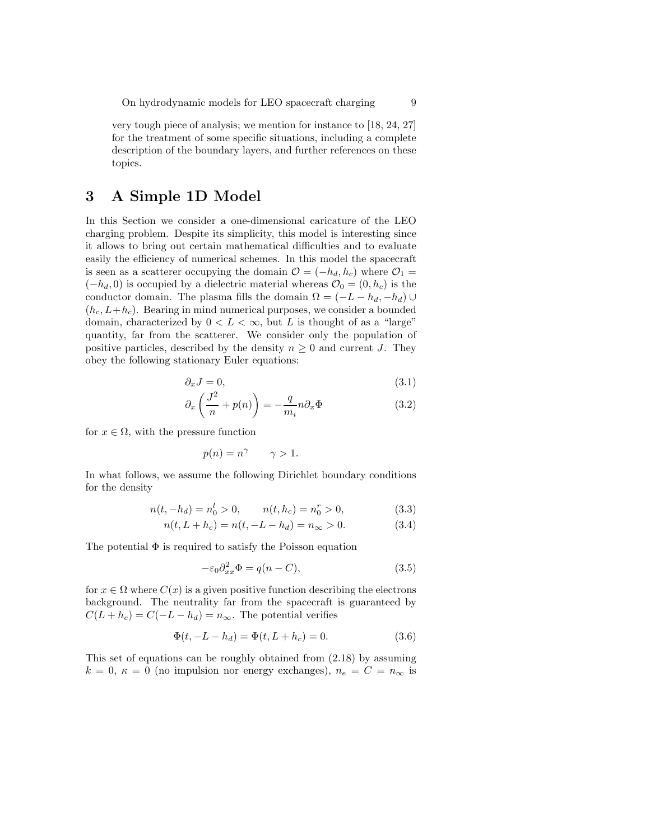very tough piece of analysis; we mention for instance to [18, 24, 27] for the treatment of some specific situations, including a complete description of the boundary layers, and further references on these topics.

## 3 A Simple 1D Model

In this Section we consider a one-dimensional caricature of the LEO charging problem. Despite its simplicity, this model is interesting since it allows to bring out certain mathematical difficulties and to evaluate easily the efficiency of numerical schemes. In this model the spacecraft is seen as a scatterer occupying the domain  $\mathcal{O} = (-h_d, h_c)$  where  $\mathcal{O}_1 =$  $(-h_d, 0)$  is occupied by a dielectric material whereas  $\mathcal{O}_0 = (0, h_c)$  is the conductor domain. The plasma fills the domain  $\Omega = (-L - h_d, -h_d) \cup$  $(h_c, L+h_c)$ . Bearing in mind numerical purposes, we consider a bounded domain, characterized by  $0 < L < \infty$ , but L is thought of as a "large" quantity, far from the scatterer. We consider only the population of positive particles, described by the density  $n \geq 0$  and current J. They obey the following stationary Euler equations:

$$
\partial_x J = 0,\tag{3.1}
$$

$$
\partial_x \left( \frac{J^2}{n} + p(n) \right) = -\frac{q}{m_i} n \partial_x \Phi \tag{3.2}
$$

for  $x \in \Omega$ , with the pressure function

$$
p(n) = n^{\gamma} \qquad \gamma > 1.
$$

In what follows, we assume the following Dirichlet boundary conditions for the density

$$
n(t, -h_d) = n_0^l > 0, \qquad n(t, h_c) = n_0^r > 0,
$$
\n(3.3)

$$
n(t, L + h_c) = n(t, -L - h_d) = n_{\infty} > 0.
$$
\n(3.4)

The potential  $\Phi$  is required to satisfy the Poisson equation

$$
-\varepsilon_0 \partial_{xx}^2 \Phi = q(n - C), \tag{3.5}
$$

for  $x \in \Omega$  where  $C(x)$  is a given positive function describing the electrons background. The neutrality far from the spacecraft is guaranteed by  $C(L + h_c) = C(-L - h_d) = n_{\infty}$ . The potential verifies

$$
\Phi(t, -L - h_d) = \Phi(t, L + h_c) = 0.
$$
\n(3.6)

This set of equations can be roughly obtained from (2.18) by assuming  $k = 0, \ \kappa = 0$  (no impulsion nor energy exchanges),  $n_e = C = n_{\infty}$  is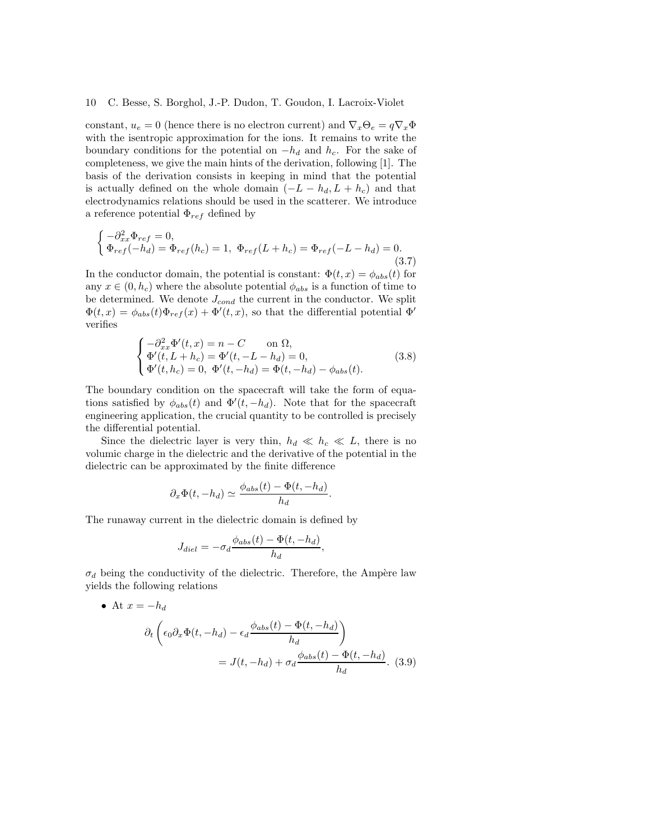constant,  $u_e = 0$  (hence there is no electron current) and  $\nabla_x \Theta_e = q \nabla_x \Phi$ with the isentropic approximation for the ions. It remains to write the boundary conditions for the potential on  $-h_d$  and  $h_c$ . For the sake of completeness, we give the main hints of the derivation, following [1]. The basis of the derivation consists in keeping in mind that the potential is actually defined on the whole domain  $(-L - h_d, L + h_c)$  and that electrodynamics relations should be used in the scatterer. We introduce a reference potential  $\Phi_{ref}$  defined by

$$
\begin{cases}\n-\partial_{xx}^2 \Phi_{ref} = 0, \\
\Phi_{ref}(-h_d) = \Phi_{ref}(h_c) = 1, \ \Phi_{ref}(L + h_c) = \Phi_{ref}(-L - h_d) = 0.\n\end{cases}
$$
\n(3.7)

In the conductor domain, the potential is constant:  $\Phi(t, x) = \phi_{abs}(t)$  for any  $x \in (0, h_c)$  where the absolute potential  $\phi_{abs}$  is a function of time to be determined. We denote  $J_{cond}$  the current in the conductor. We split  $\Phi(t,x) = \phi_{abs}(t)\Phi_{ref}(x) + \Phi'(t,x)$ , so that the differential potential  $\Phi'$ verifies

$$
\begin{cases}\n-\partial_{xx}^{2}\Phi'(t,x) = n - C & \text{on } \Omega, \\
\Phi'(t, L + h_c) = \Phi'(t, -L - h_d) = 0, \\
\Phi'(t, h_c) = 0, \ \Phi'(t, -h_d) = \Phi(t, -h_d) - \phi_{abs}(t).\n\end{cases}
$$
\n(3.8)

The boundary condition on the spacecraft will take the form of equations satisfied by  $\phi_{abs}(t)$  and  $\Phi'(t, -h_d)$ . Note that for the spacecraft engineering application, the crucial quantity to be controlled is precisely the differential potential.

Since the dielectric layer is very thin,  $h_d \ll h_c \ll L$ , there is no volumic charge in the dielectric and the derivative of the potential in the dielectric can be approximated by the finite difference

$$
\partial_x \Phi(t, -h_d) \simeq \frac{\phi_{abs}(t) - \Phi(t, -h_d)}{h_d}.
$$

The runaway current in the dielectric domain is defined by

$$
J_{diel} = -\sigma_d \frac{\phi_{abs}(t) - \Phi(t, -h_d)}{h_d},
$$

 $\sigma_d$  being the conductivity of the dielectric. Therefore, the Ampère law yields the following relations

• At 
$$
x = -h_d
$$
  
\n
$$
\partial_t \left( \epsilon_0 \partial_x \Phi(t, -h_d) - \epsilon_d \frac{\phi_{abs}(t) - \Phi(t, -h_d)}{h_d} \right)
$$
\n
$$
= J(t, -h_d) + \sigma_d \frac{\phi_{abs}(t) - \Phi(t, -h_d)}{h_d}.
$$
\n(3.9)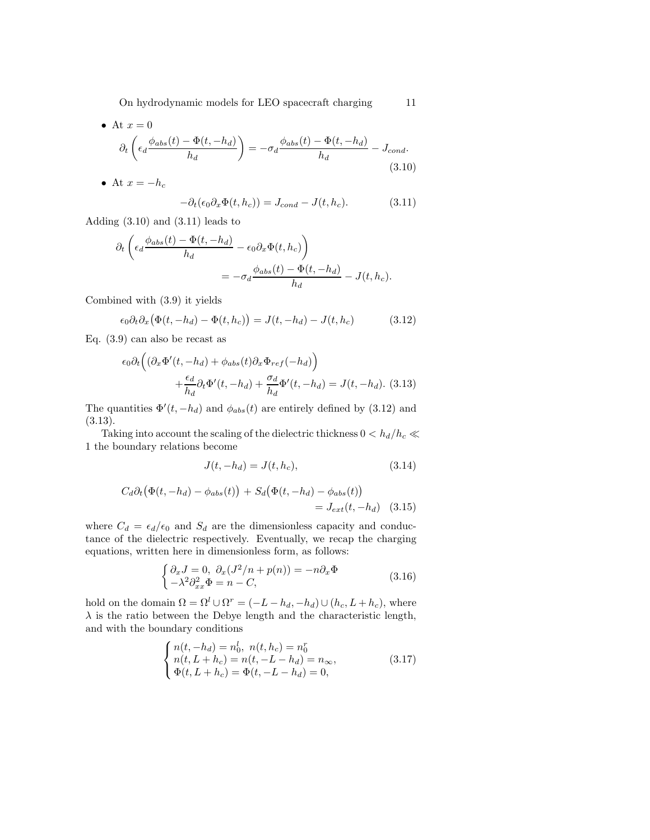• At 
$$
x = 0
$$
  
\n
$$
\partial_t \left( \epsilon_d \frac{\phi_{abs}(t) - \Phi(t, -h_d)}{h_d} \right) = -\sigma_d \frac{\phi_{abs}(t) - \Phi(t, -h_d)}{h_d} - J_{cond}.
$$
\n(3.10)

• At 
$$
x = -h_c
$$
  

$$
-\partial_t(\epsilon_0 \partial_x \Phi(t, h_c)) = J_{cond} - J(t, h_c).
$$
(3.11)

Adding (3.10) and (3.11) leads to

$$
\partial_t \left( \epsilon_d \frac{\phi_{abs}(t) - \Phi(t, -h_d)}{h_d} - \epsilon_0 \partial_x \Phi(t, h_c) \right)
$$
  
= 
$$
-\sigma_d \frac{\phi_{abs}(t) - \Phi(t, -h_d)}{h_d} - J(t, h_c).
$$

Combined with (3.9) it yields

$$
\epsilon_0 \partial_t \partial_x \big( \Phi(t, -h_d) - \Phi(t, h_c) \big) = J(t, -h_d) - J(t, h_c) \tag{3.12}
$$

Eq. (3.9) can also be recast as

$$
\epsilon_0 \partial_t \left( (\partial_x \Phi'(t, -h_d) + \phi_{abs}(t) \partial_x \Phi_{ref}(-h_d) \right) + \frac{\epsilon_d}{h_d} \partial_t \Phi'(t, -h_d) + \frac{\sigma_d}{h_d} \Phi'(t, -h_d) = J(t, -h_d). \tag{3.13}
$$

The quantities  $\Phi'(t, -h_d)$  and  $\phi_{abs}(t)$  are entirely defined by (3.12) and (3.13).

Taking into account the scaling of the dielectric thickness  $0 < h_d/h_c \ll$ 1 the boundary relations become

$$
J(t, -h_d) = J(t, h_c),
$$
\n(3.14)

$$
C_d \partial_t (\Phi(t, -h_d) - \phi_{abs}(t)) + S_d (\Phi(t, -h_d) - \phi_{abs}(t))
$$
  
=  $J_{ext}(t, -h_d)$  (3.15)

where  $C_d = \epsilon_d/\epsilon_0$  and  $S_d$  are the dimensionless capacity and conductance of the dielectric respectively. Eventually, we recap the charging equations, written here in dimensionless form, as follows:

$$
\begin{cases}\n\partial_x J = 0, & \partial_x (J^2/n + p(n)) = -n \partial_x \Phi \\
-\lambda^2 \partial_{xx}^2 \Phi = n - C,\n\end{cases}
$$
\n(3.16)

hold on the domain  $\Omega = \Omega^l \cup \Omega^r = (-L - h_d, -h_d) \cup (h_c, L + h_c)$ , where  $\lambda$  is the ratio between the Debye length and the characteristic length, and with the boundary conditions

$$
\begin{cases}\nn(t, -h_d) = n_0^l, \ n(t, h_c) = n_0^r \\
n(t, L + h_c) = n(t, -L - h_d) = n_\infty, \\
\Phi(t, L + h_c) = \Phi(t, -L - h_d) = 0,\n\end{cases} \tag{3.17}
$$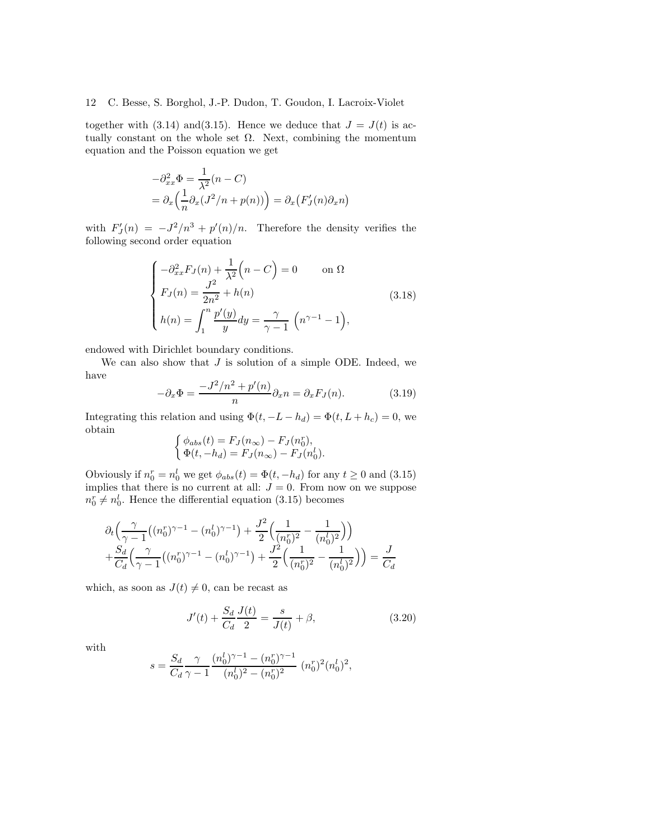together with (3.14) and (3.15). Hence we deduce that  $J = J(t)$  is actually constant on the whole set  $\Omega$ . Next, combining the momentum equation and the Poisson equation we get

$$
-\partial_{xx}^2 \Phi = \frac{1}{\lambda^2} (n - C)
$$
  
=  $\partial_x \left( \frac{1}{n} \partial_x (J^2/n + p(n)) \right) = \partial_x (F'_J(n) \partial_x n)$ 

with  $F'_J(n) = -J^2/n^3 + p'(n)/n$ . Therefore the density verifies the following second order equation

$$
\begin{cases}\n-\partial_{xx}^2 F_J(n) + \frac{1}{\lambda^2} \left(n - C\right) = 0 & \text{on } \Omega \\
F_J(n) = \frac{J^2}{2n^2} + h(n) & \\
h(n) = \int_1^n \frac{p'(y)}{y} dy = \frac{\gamma}{\gamma - 1} \left(n^{\gamma - 1} - 1\right),\n\end{cases} (3.18)
$$

endowed with Dirichlet boundary conditions.

We can also show that  $J$  is solution of a simple ODE. Indeed, we have

$$
-\partial_x \Phi = \frac{-J^2/n^2 + p'(n)}{n} \partial_x n = \partial_x F_J(n). \tag{3.19}
$$

Integrating this relation and using  $\Phi(t, -L - h_d) = \Phi(t, L + h_c) = 0$ , we obtain

$$
\begin{cases}\n\phi_{abs}(t) = F_J(n_\infty) - F_J(n_0^r),\\
\Phi(t, -h_d) = F_J(n_\infty) - F_J(n_0^l).\n\end{cases}
$$

Obviously if  $n_0^r = n_0^l$  we get  $\phi_{abs}(t) = \Phi(t, -h_d)$  for any  $t \ge 0$  and  $(3.15)$ implies that there is no current at all:  $J = 0$ . From now on we suppose  $n_0^r \neq n_0^l$ . Hence the differential equation (3.15) becomes

$$
\partial_t \left( \frac{\gamma}{\gamma - 1} \left( (n_0^r)^{\gamma - 1} - (n_0^l)^{\gamma - 1} \right) + \frac{J^2}{2} \left( \frac{1}{(n_0^r)^2} - \frac{1}{(n_0^l)^2} \right) \right) + \frac{S_d}{C_d} \left( \frac{\gamma}{\gamma - 1} \left( (n_0^r)^{\gamma - 1} - (n_0^l)^{\gamma - 1} \right) + \frac{J^2}{2} \left( \frac{1}{(n_0^r)^2} - \frac{1}{(n_0^l)^2} \right) \right) = \frac{J}{C_d}
$$

which, as soon as  $J(t) \neq 0$ , can be recast as

$$
J'(t) + \frac{S_d}{C_d} \frac{J(t)}{2} = \frac{s}{J(t)} + \beta,
$$
\n(3.20)

with

$$
s = \frac{S_d}{C_d} \frac{\gamma}{\gamma-1} \frac{(n_0^l)^{\gamma-1}-(n_0^r)^{\gamma-1}}{(n_0^l)^2-(n_0^r)^2} \ (n_0^r)^2 (n_0^l)^2,
$$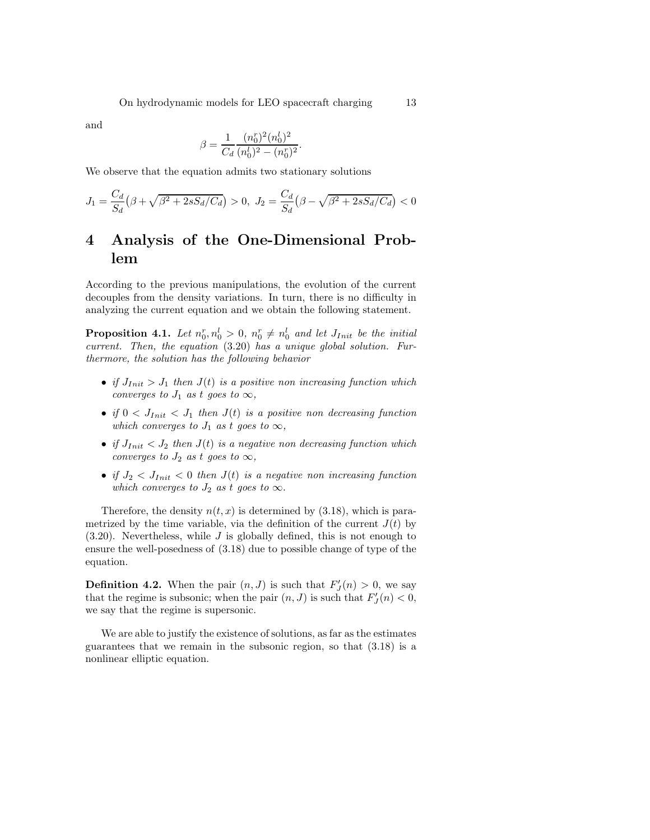and

$$
\beta = \frac{1}{C_d} \frac{(n_0^r)^2 (n_0^l)^2}{(n_0^l)^2 - (n_0^r)^2}.
$$

We observe that the equation admits two stationary solutions

$$
J_1 = \frac{C_d}{S_d} \left( \beta + \sqrt{\beta^2 + 2sS_d/C_d} \right) > 0, \ J_2 = \frac{C_d}{S_d} \left( \beta - \sqrt{\beta^2 + 2sS_d/C_d} \right) < 0
$$

# 4 Analysis of the One-Dimensional Problem

According to the previous manipulations, the evolution of the current decouples from the density variations. In turn, there is no difficulty in analyzing the current equation and we obtain the following statement.

**Proposition 4.1.** Let  $n_0^r, n_0^l > 0$ ,  $n_0^r \neq n_0^l$  and let  $J_{Init}$  be the initial current. Then, the equation  $(3.20)$  has a unique global solution. Furthermore, the solution has the following behavior

- if  $J_{Init} > J_1$  then  $J(t)$  is a positive non increasing function which converges to  $J_1$  as t goes to  $\infty$ ,
- if  $0 < J_{Init} < J_1$  then  $J(t)$  is a positive non decreasing function which converges to  $J_1$  as t goes to  $\infty$ ,
- if  $J_{Init} < J_2$  then  $J(t)$  is a negative non decreasing function which converges to  $J_2$  as t goes to  $\infty$ ,
- if  $J_2 < J_{Init} < 0$  then  $J(t)$  is a negative non increasing function which converges to  $J_2$  as t goes to  $\infty$ .

Therefore, the density  $n(t, x)$  is determined by (3.18), which is parametrized by the time variable, via the definition of the current  $J(t)$  by  $(3.20)$ . Nevertheless, while J is globally defined, this is not enough to ensure the well-posedness of (3.18) due to possible change of type of the equation.

**Definition 4.2.** When the pair  $(n, J)$  is such that  $F'_J(n) > 0$ , we say that the regime is subsonic; when the pair  $(n, J)$  is such that  $F'_{J}(n) < 0$ , we say that the regime is supersonic.

We are able to justify the existence of solutions, as far as the estimates guarantees that we remain in the subsonic region, so that (3.18) is a nonlinear elliptic equation.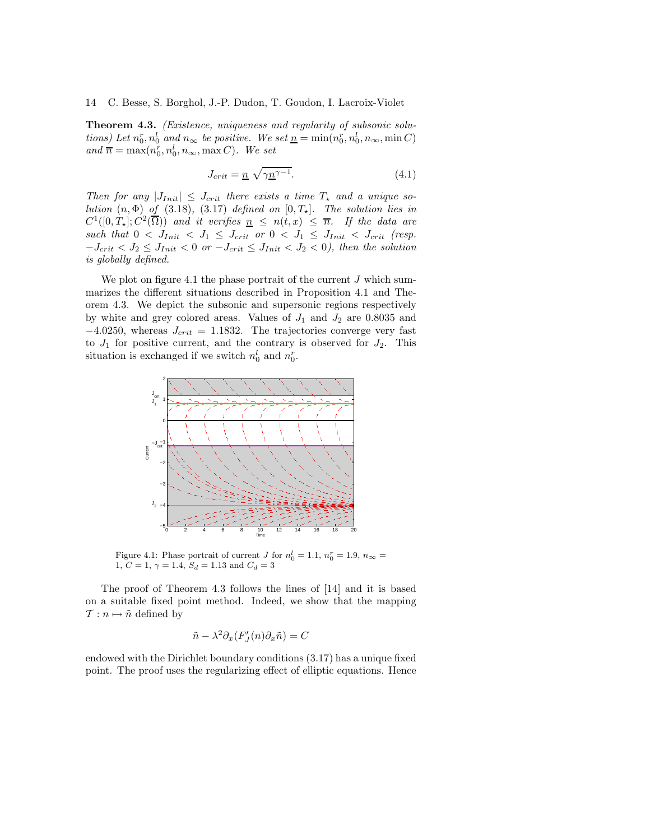**Theorem 4.3.** (Existence, uniqueness and regularity of subsonic solutions) Let  $n_0^r, n_0^l$  and  $n_\infty$  be positive. We set  $\underline{n} = \min(n_0^r, n_0^l, n_\infty, \min C)$ and  $\overline{n} = \max(n_0^r, n_0^l, n_\infty, \max C)$ . We set

$$
J_{crit} = \underline{n} \sqrt{\gamma \underline{n}^{\gamma - 1}}. \tag{4.1}
$$

Then for any  $|J_{Init}| \leq J_{crit}$  there exists a time  $T_{\star}$  and a unique solution  $(n, \Phi)$  of (3.18), (3.17) defined on  $[0, T_{\star}]$ . The solution lies in  $C^1([0,T_\star];C^2(\overline{\Omega}))$  and it verifies  $\underline{n} \leq n(t,x) \leq \overline{n}$ . If the data are such that  $0 < J_{Init} < J_1 \leq J_{crit}$  or  $0 < J_1 \leq J_{Init} < J_{crit}$  (resp.  $-J_{crit} < J_2 \leq J_{Init} < 0$  or  $-J_{crit} \leq J_{Init} < J_2 < 0$ , then the solution is globally defined.

We plot on figure 4.1 the phase portrait of the current  $J$  which summarizes the different situations described in Proposition 4.1 and Theorem 4.3. We depict the subsonic and supersonic regions respectively by white and grey colored areas. Values of  $J_1$  and  $J_2$  are 0.8035 and  $-4.0250$ , whereas  $J_{crit} = 1.1832$ . The trajectories converge very fast to  $J_1$  for positive current, and the contrary is observed for  $J_2$ . This situation is exchanged if we switch  $n_0^l$  and  $n_0^r$ .



Figure 4.1: Phase portrait of current J for  $n_0^l = 1.1, n_0^r = 1.9, n_\infty =$ 1,  $C = 1$ ,  $\gamma = 1.4$ ,  $S_d = 1.13$  and  $C_d = 3$ 

The proof of Theorem 4.3 follows the lines of [14] and it is based on a suitable fixed point method. Indeed, we show that the mapping  $\mathcal{T}: n \mapsto \tilde{n}$  defined by

$$
\tilde{n} - \lambda^2 \partial_x (F'_J(n) \partial_x \tilde{n}) = C
$$

endowed with the Dirichlet boundary conditions (3.17) has a unique fixed point. The proof uses the regularizing effect of elliptic equations. Hence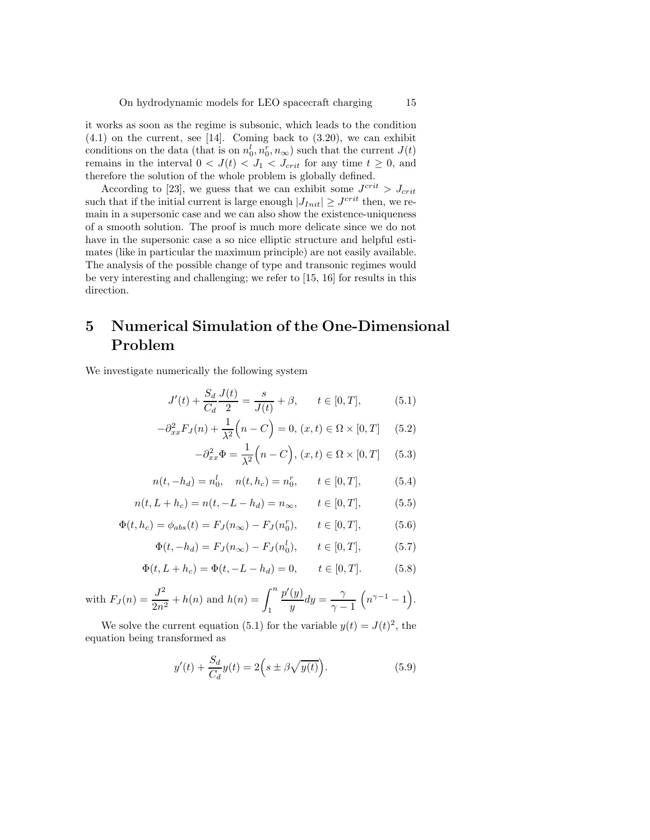it works as soon as the regime is subsonic, which leads to the condition  $(4.1)$  on the current, see [14]. Coming back to  $(3.20)$ , we can exhibit conditions on the data (that is on  $n_0^l, n_0^r, n_\infty$ ) such that the current  $J(t)$ remains in the interval  $0 < J(t) < J_1 < J_{crit}$  for any time  $t \geq 0$ , and therefore the solution of the whole problem is globally defined.

According to [23], we guess that we can exhibit some  $J^{crit} > J_{crit}$ such that if the initial current is large enough  $|J_{Init}| \geq J^{crit}$  then, we remain in a supersonic case and we can also show the existence-uniqueness of a smooth solution. The proof is much more delicate since we do not have in the supersonic case a so nice elliptic structure and helpful estimates (like in particular the maximum principle) are not easily available. The analysis of the possible change of type and transonic regimes would be very interesting and challenging; we refer to [15, 16] for results in this direction.

# 5 Numerical Simulation of the One-Dimensional Problem

We investigate numerically the following system

$$
J'(t) + \frac{S_d}{C_d} \frac{J(t)}{2} = \frac{s}{J(t)} + \beta, \qquad t \in [0, T], \tag{5.1}
$$

$$
-\partial_{xx}^{2}F_{J}(n) + \frac{1}{\lambda^{2}}\left(n - C\right) = 0, (x, t) \in \Omega \times [0, T] \quad (5.2)
$$

$$
-\partial_{xx}^2 \Phi = \frac{1}{\lambda^2} \Big( n - C \Big), \, (x, t) \in \Omega \times [0, T] \quad (5.3)
$$

$$
n(t, -h_d) = n_0^l, \quad n(t, h_c) = n_0^r, \qquad t \in [0, T], \tag{5.4}
$$

$$
n(t, L + h_c) = n(t, -L - h_d) = n_{\infty}, \qquad t \in [0, T],
$$
 (5.5)

$$
\Phi(t, h_c) = \phi_{abs}(t) = F_J(n_{\infty}) - F_J(n_0^r), \qquad t \in [0, T], \tag{5.6}
$$

$$
\Phi(t, -h_d) = F_J(n_{\infty}) - F_J(n_0^l), \qquad t \in [0, T], \tag{5.7}
$$

$$
\Phi(t, L + h_c) = \Phi(t, -L - h_d) = 0, \qquad t \in [0, T].
$$
 (5.8)

with 
$$
F_J(n) = \frac{J^2}{2n^2} + h(n)
$$
 and  $h(n) = \int_1^n \frac{p'(y)}{y} dy = \frac{\gamma}{\gamma - 1} \left( n^{\gamma - 1} - 1 \right).$ 

We solve the current equation (5.1) for the variable  $y(t) = J(t)^2$ , the equation being transformed as

$$
y'(t) + \frac{S_d}{C_d}y(t) = 2\left(s \pm \beta \sqrt{y(t)}\right).
$$
\n(5.9)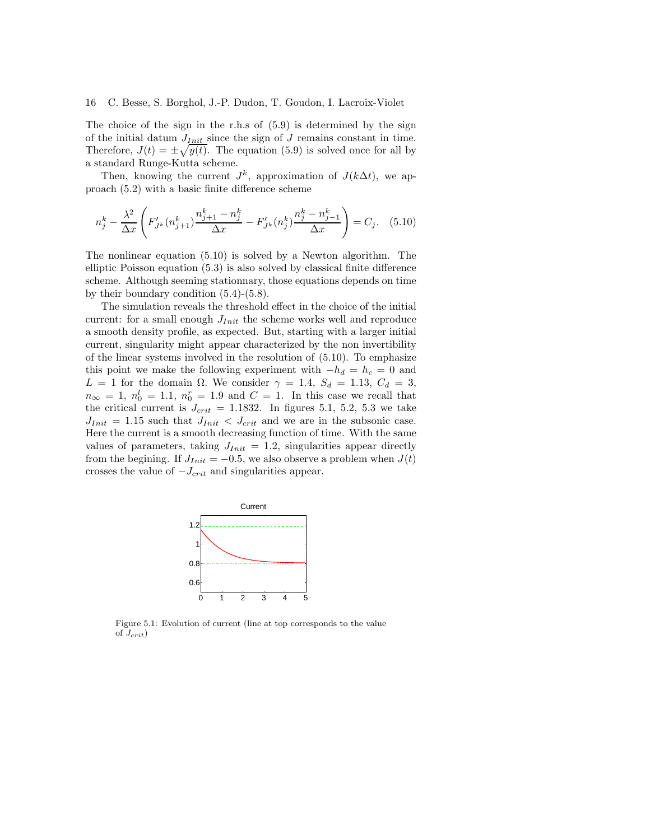The choice of the sign in the r.h.s of (5.9) is determined by the sign of the initial datum  $J_{Init}$  since the sign of  $J$  remains constant in time. Therefore,  $J(t) = \pm \sqrt{y(t)}$ . The equation (5.9) is solved once for all by a standard Runge-Kutta scheme.

Then, knowing the current  $J^k$ , approximation of  $J(k\Delta t)$ , we approach (5.2) with a basic finite difference scheme

$$
n_j^k - \frac{\lambda^2}{\Delta x} \left( F'_{J^k}(n_{j+1}^k) \frac{n_{j+1}^k - n_j^k}{\Delta x} - F'_{J^k}(n_j^k) \frac{n_j^k - n_{j-1}^k}{\Delta x} \right) = C_j. \quad (5.10)
$$

The nonlinear equation (5.10) is solved by a Newton algorithm. The elliptic Poisson equation (5.3) is also solved by classical finite difference scheme. Although seeming stationnary, those equations depends on time by their boundary condition (5.4)-(5.8).

The simulation reveals the threshold effect in the choice of the initial current: for a small enough  $J_{Init}$  the scheme works well and reproduce a smooth density profile, as expected. But, starting with a larger initial current, singularity might appear characterized by the non invertibility of the linear systems involved in the resolution of (5.10). To emphasize this point we make the following experiment with  $-h_d = h_c = 0$  and  $L = 1$  for the domain  $\Omega$ . We consider  $\gamma = 1.4$ ,  $S_d = 1.13$ ,  $C_d = 3$ ,  $n_{\infty} = 1, n_0^l = 1.1, n_0^r = 1.9$  and  $C = 1$ . In this case we recall that the critical current is  $J_{crit} = 1.1832$ . In figures 5.1, 5.2, 5.3 we take  $J_{Init} = 1.15$  such that  $J_{Init} < J_{crit}$  and we are in the subsonic case. Here the current is a smooth decreasing function of time. With the same values of parameters, taking  $J_{Init} = 1.2$ , singularities appear directly from the begining. If  $J_{Init} = -0.5$ , we also observe a problem when  $J(t)$ crosses the value of  $-J_{crit}$  and singularities appear.



Figure 5.1: Evolution of current (line at top corresponds to the value of  $J_{crit}$ )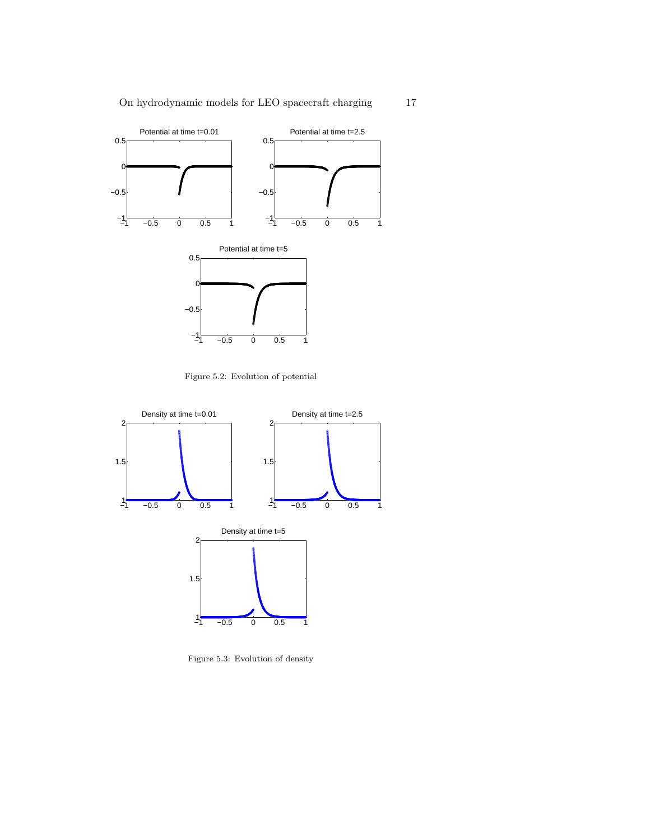

Figure 5.2: Evolution of potential

−1<sup>L</sup>

 $-0.5$  0 0.5 1



Figure 5.3: Evolution of density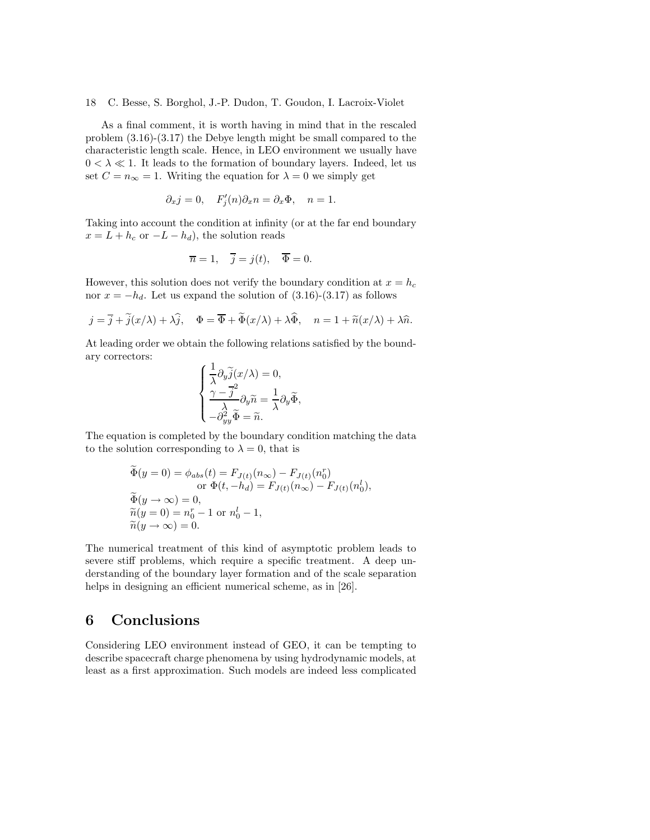As a final comment, it is worth having in mind that in the rescaled problem (3.16)-(3.17) the Debye length might be small compared to the characteristic length scale. Hence, in LEO environment we usually have  $0 < \lambda \ll 1$ . It leads to the formation of boundary layers. Indeed, let us set  $C = n_{\infty} = 1$ . Writing the equation for  $\lambda = 0$  we simply get

$$
\partial_x j = 0
$$
,  $F'_j(n)\partial_x n = \partial_x \Phi$ ,  $n = 1$ .

Taking into account the condition at infinity (or at the far end boundary  $x = L + h_c$  or  $-L - h_d$ , the solution reads

$$
\overline{n} = 1, \quad \overline{j} = j(t), \quad \overline{\Phi} = 0.
$$

However, this solution does not verify the boundary condition at  $x = h_c$ nor  $x = -h_d$ . Let us expand the solution of (3.16)-(3.17) as follows

$$
j = \overline{j} + \tilde{j}(x/\lambda) + \lambda \hat{j}, \quad \Phi = \overline{\Phi} + \tilde{\Phi}(x/\lambda) + \lambda \hat{\Phi}, \quad n = 1 + \tilde{n}(x/\lambda) + \lambda \hat{n}.
$$

At leading order we obtain the following relations satisfied by the boundary correctors:

$$
\begin{cases} \frac{1}{\lambda} \partial_y \widetilde{j}(x/\lambda) = 0, \\ \frac{\gamma - \overline{j}^2}{\lambda} \partial_y \widetilde{n} = \frac{1}{\lambda} \partial_y \widetilde{\Phi}, \\ -\partial_{yy}^2 \widetilde{\Phi} = \widetilde{n}. \end{cases}
$$

The equation is completed by the boundary condition matching the data to the solution corresponding to  $\lambda = 0$ , that is

$$
\Phi(y=0) = \phi_{abs}(t) = F_{J(t)}(n_{\infty}) - F_{J(t)}(n_0^{r})
$$
  
or 
$$
\Phi(t, -h_d) = F_{J(t)}(n_{\infty}) - F_{J(t)}(n_0^{l}),
$$
  

$$
\widetilde{\Phi}(y \to \infty) = 0,
$$
  

$$
\widetilde{n}(y=0) = n_0^{r} - 1 \text{ or } n_0^{l} - 1,
$$
  

$$
\widetilde{n}(y \to \infty) = 0.
$$

The numerical treatment of this kind of asymptotic problem leads to severe stiff problems, which require a specific treatment. A deep understanding of the boundary layer formation and of the scale separation helps in designing an efficient numerical scheme, as in [26].

## 6 Conclusions

Considering LEO environment instead of GEO, it can be tempting to describe spacecraft charge phenomena by using hydrodynamic models, at least as a first approximation. Such models are indeed less complicated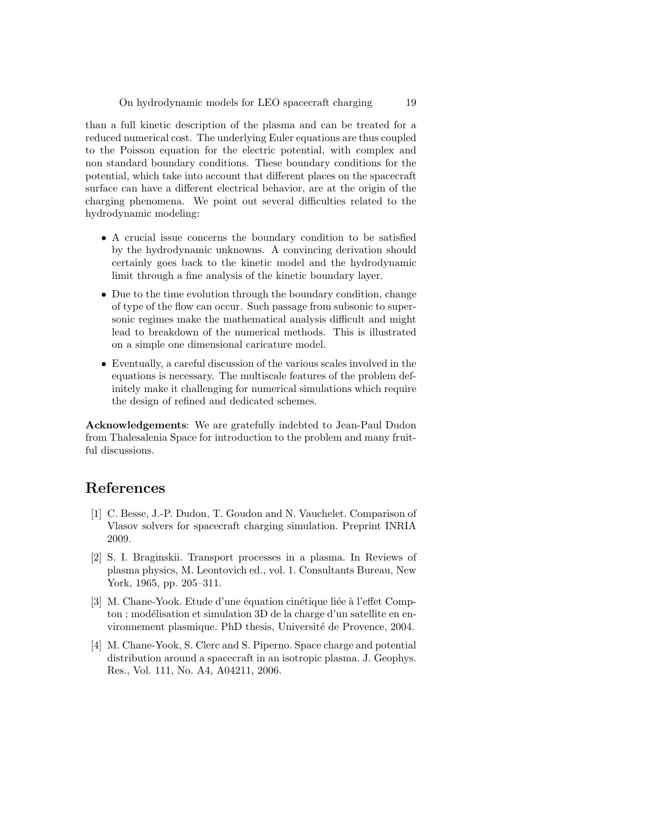than a full kinetic description of the plasma and can be treated for a reduced numerical cost. The underlying Euler equations are thus coupled to the Poisson equation for the electric potential, with complex and non standard boundary conditions. These boundary conditions for the potential, which take into account that different places on the spacecraft surface can have a different electrical behavior, are at the origin of the charging phenomena. We point out several difficulties related to the hydrodynamic modeling:

- A crucial issue concerns the boundary condition to be satisfied by the hydrodynamic unknowns. A convincing derivation should certainly goes back to the kinetic model and the hydrodynamic limit through a fine analysis of the kinetic boundary layer.
- Due to the time evolution through the boundary condition, change of type of the flow can occur. Such passage from subsonic to supersonic regimes make the mathematical analysis difficult and might lead to breakdown of the numerical methods. This is illustrated on a simple one dimensional caricature model.
- Eventually, a careful discussion of the various scales involved in the equations is necessary. The multiscale features of the problem definitely make it challenging for numerical simulations which require the design of refined and dedicated schemes.

Acknowledgements: We are gratefully indebted to Jean-Paul Dudon from Thalesalenia Space for introduction to the problem and many fruitful discussions.

## References

- [1] C. Besse, J.-P. Dudon, T. Goudon and N. Vauchelet. Comparison of Vlasov solvers for spacecraft charging simulation. Preprint INRIA 2009.
- [2] S. I. Braginskii. Transport processes in a plasma. In Reviews of plasma physics, M. Leontovich ed., vol. 1. Consultants Bureau, New York, 1965, pp. 205–311.
- [3] M. Chane-Yook. Etude d'une équation cinétique liée à l'effet Compton ; modélisation et simulation 3D de la charge d'un satellite en environnement plasmique. PhD thesis, Université de Provence, 2004.
- [4] M. Chane-Yook, S. Clerc and S. Piperno. Space charge and potential distribution around a spacecraft in an isotropic plasma. J. Geophys. Res., Vol. 111, No. A4, A04211, 2006.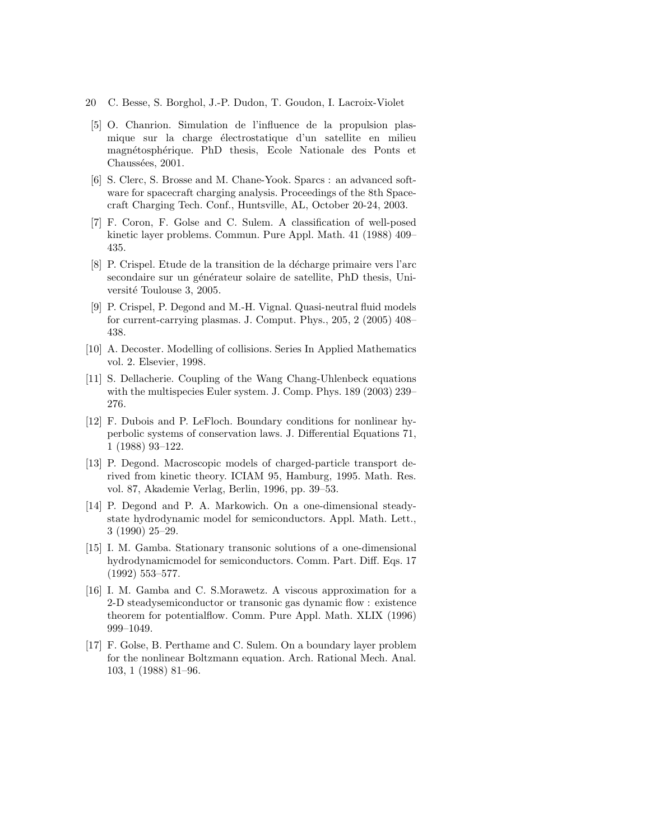- 20 C. Besse, S. Borghol, J.-P. Dudon, T. Goudon, I. Lacroix-Violet
- [5] O. Chanrion. Simulation de l'influence de la propulsion plasmique sur la charge électrostatique d'un satellite en milieu magnétosphérique. PhD thesis, Ecole Nationale des Ponts et Chaussées, 2001.
- [6] S. Clerc, S. Brosse and M. Chane-Yook. Sparcs : an advanced software for spacecraft charging analysis. Proceedings of the 8th Spacecraft Charging Tech. Conf., Huntsville, AL, October 20-24, 2003.
- [7] F. Coron, F. Golse and C. Sulem. A classification of well-posed kinetic layer problems. Commun. Pure Appl. Math. 41 (1988) 409– 435.
- [8] P. Crispel. Etude de la transition de la décharge primaire vers l'arc secondaire sur un générateur solaire de satellite, PhD thesis, Université Toulouse 3, 2005.
- [9] P. Crispel, P. Degond and M.-H. Vignal. Quasi-neutral fluid models for current-carrying plasmas. J. Comput. Phys., 205, 2 (2005) 408– 438.
- [10] A. Decoster. Modelling of collisions. Series In Applied Mathematics vol. 2. Elsevier, 1998.
- [11] S. Dellacherie. Coupling of the Wang Chang-Uhlenbeck equations with the multispecies Euler system. J. Comp. Phys. 189 (2003) 239– 276.
- [12] F. Dubois and P. LeFloch. Boundary conditions for nonlinear hyperbolic systems of conservation laws. J. Differential Equations 71, 1 (1988) 93–122.
- [13] P. Degond. Macroscopic models of charged-particle transport derived from kinetic theory. ICIAM 95, Hamburg, 1995. Math. Res. vol. 87, Akademie Verlag, Berlin, 1996, pp. 39–53.
- [14] P. Degond and P. A. Markowich. On a one-dimensional steadystate hydrodynamic model for semiconductors. Appl. Math. Lett., 3 (1990) 25–29.
- [15] I. M. Gamba. Stationary transonic solutions of a one-dimensional hydrodynamicmodel for semiconductors. Comm. Part. Diff. Eqs. 17 (1992) 553–577.
- [16] I. M. Gamba and C. S.Morawetz. A viscous approximation for a 2-D steadysemiconductor or transonic gas dynamic flow : existence theorem for potentialflow. Comm. Pure Appl. Math. XLIX (1996) 999–1049.
- [17] F. Golse, B. Perthame and C. Sulem. On a boundary layer problem for the nonlinear Boltzmann equation. Arch. Rational Mech. Anal. 103, 1 (1988) 81–96.